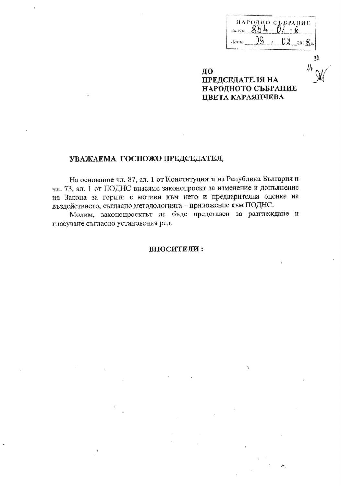| Bx.N0 | ПАРОДНО СЪБРАНИЕ |                           |
|-------|------------------|---------------------------|
| Дата  |                  | $\mathbf{N}_{\mathbf{N}}$ |

Ă.

 $3\lambda$ 

14

ДО **ПРЕДСЕДАТЕЛЯ НА** НАРОДНОТО СЪБРАНИЕ ЦВЕТА КАРАЯНЧЕВА

# УВАЖАЕМА ГОСПОЖО ПРЕДСЕДАТЕЛ,

На основание чл. 87, ал. 1 от Конституцията на Република България и чл. 73, ал. 1 от ПОДНС внасяме законопроект за изменение и допълнение на Закона за горите с мотиви към него и предварителна оценка на въздействието, съгласно методологията - приложение към ПОДНС.

Молим, законопроектът да бъде представен за разглеждане и гласуване съгласно установения ред.

#### ВНОСИТЕЛИ: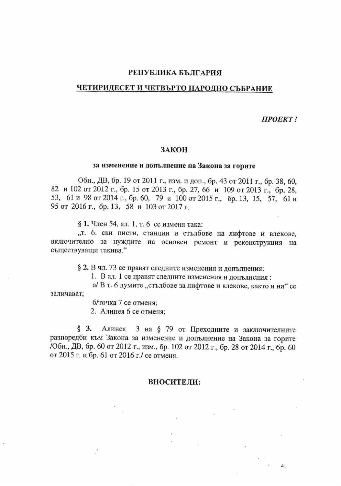#### РЕПУБЛИКА БЪЛГАРИЯ

#### ЧЕТИРИДЕСЕТ И ЧЕТВЪРТО НАРОДНО СЪБРАНИЕ

**ΠΡΟΕΚΤ!** 

 $\mathcal{A}$ 

#### ЗАКОН

#### за изменение и допълнение на Закона за горите

Обн., ДВ, бр. 19 от 2011 г., изм. и доп., бр. 43 от 2011 г., бр. 38, 60, 82 и 102 от 2012 г., бр. 15 от 2013 г., бр. 27, 66 и 109 от 2013 г., бр. 28, 53, 61 и 98 от 2014 г., бр. 60, 79 и 100 от 2015 г., бр. 13, 15, 57, 61 и 95 от 2016 г., бр. 13, 58 и 103 от 2017 г.

§ 1. Член 54, ал. 1, т. 6 се изменя така:

"т. 6. ски писти, станции и стълбове на лифтове и влекове, включително за нуждите на основен ремонт и реконструкция на съществуващи такива."

§ 2. В чл. 73 се правят следните изменения и допълнения:

1. В ал. 1 се правят следните изменения и допълнения:

а/ В т. 6 думите "стълбове за лифтове и влекове, както и на" се заличават:

б/точка 7 се отменя;

2. Алинея 6 се отменя;

§ 3. Алинея 3 на § 79 от Преходните и заключителните разпоредби към Закона за изменение и допълнение на Закона за горите 7Обн., ДВ, бр. 60 от 2012 г., изм., бр. 102 от 2012 г., бр. 28 от 2014 г., бр. 60 от 2015 г. и бр. 61 от 2016 г./ се отменя.

#### ВНОСИТЕЛИ: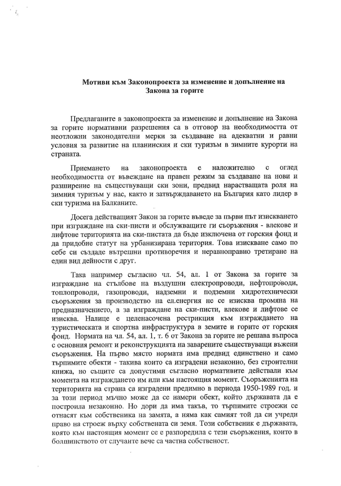### Мотиви към Законопроекта за изменение и допълнение на Закона за горите

Предлаганите в законопроекта за изменение и допълнение на Закона за горите нормативни разрешения са в отговор на необходимостта от неотложни законодателни мерки за създаване на адекватни и равни условия за развитие на планинския и ски туризъм в зимните курорти на страната.

наложително Приемането на законопроекта e C оглед необходимостта от въвеждане на правен режим за създаване на нови и разширение на съществуващи ски зони, предвид нарастващата роля на зимния туризъм у нас, както и затвърждаването на България като лидер в ски туризма на Балканите.

Досега действащият Закон за горите въведе за първи път изискването при изграждане на ски-писти и обслужващите ги съоръжения - влекове и лифтове територията на ски-пистата да бъде изключена от горския фонд и да придобие статут на урбанизирана територия. Това изискване само по себе си създаде вътрешни противоречия и неравноправно третиране на един вид дейности с друг.

Така например съгласно чл. 54, ал. 1 от Закона за горите за изграждане на стълбове на въздушни електропроводи, нефтопроводи, топлопроводи, газопроводи, надземни и подземни хидротехнически съоръжения за производство на еленергия не се изисква промяна на предназначението, а за изграждане на ски-писти, влекове и лифтове се изисква. Налице е целенасочена рестрикция към изграждането на туристическата и спортна инфраструктура в земите и горите от горския фонд. Нормата на чл. 54, ал. 1, т. 6 от Закона за горите не решава въпроса с основния ремонт и реконструкцията на заварените съществуващи въжени съоръжения. На първо място нормата има предвид единствено и само търпимите обекти - такива които са изградени незаконно, без строителни книжа, но същите са допустими съгласно нормативите действали към момента на изграждането им или към настоящия момент. Съоръженията на територията на страна са изградени предимно в периода 1950-1989 год. и за този период мъчно може да се намери обект, който държавата да е построила незаконно. Но дори да има такъв, то търпимите строежи се отнасят към собственика на замята, а няма как самият той да си учреди право на строеж върху собствената си земя. Този собственик е държавата, която към настоящия момент се е разпоредила с тези съоръжения, които в болшинството от случаите вече са частна собственост.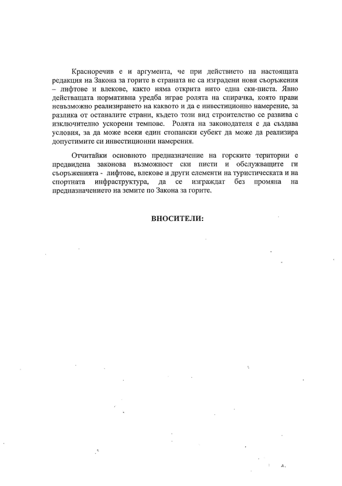Красноречив е и аргумента, че при действието на настоящата редакция на Закона за горите в страната не са изградени нови съоръжения - лифтове и влекове, както няма открита нито една ски-писта. Явно действащата нормативна уредба играе ролята на спирачка, която прави невъзможно реализирането на каквото и да е инвестиционно намерение, за разлика от останалите страни, където този вид строителство се развива с изключително ускорени темпове. Ролята на законодателя е да създава условия, за да може всеки един стопански субект да може да реализира допустимите си инвестиционни намерения.

Отчитайки основното предназначение на горските територии е предвидена законова възможност ски писти и обслужващите ги съоръженията - лифтове, влекове и други елементи на туристическата и на инфраструктура,  $ce$ изграждат без промяна спортната да на предназначението на земите по Закона за горите.

#### ВНОСИТЕЛИ: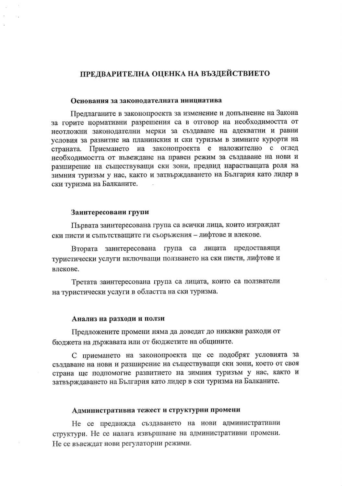# ПРЕДВАРИТЕЛНА ОЦЕНКА НА ВЪЗДЕЙСТВИЕТО

#### Основания за законодателната инициатива

Предлаганите в законопроекта за изменение и допълнение на Закона за горите нормативни разрешения са в отговор на необходимостта от неотложни законодателни мерки за създаване на адекватни и равни условия за развитие на планинския и ски туризъм в зимните курорти на Приемането на законопроекта е наложително с оглед страната. необходимостта от въвеждане на правен режим за създаване на нови и разширение на съществуващи ски зони, предвид нарастващата роля на зимния туризъм у нас, както и затвърждаването на България като лидер в ски туризма на Балканите.

#### Заинтересовани групи

Първата заинтересована група са всички лица, които изграждат ски писти и съпътстващите ги съоръжения – лифтове и влекове.

Втората заинтересована група са лицата предоставящи туристически услуги включващи ползването на ски писти, лифтове и влекове.

Третата заинтересована група са лицата, които са ползватели на туристически услуги в областта на ски туризма.

#### Анализ на разходи и ползи

Предложените промени няма да доведат до никакви разходи от бюджета на държавата или от бюджетите на общините.

С приемането на законопроекта ще се подобрят условията за създаване на нови и разширение на съществуващи ски зони, което от своя страна ще подпомогне развитието на зимния туризъм у нас, както и затвърждаването на България като лидер в ски туризма на Балканите.

#### Административна тежест и структурни промени

Не се предвижда създаването на нови административни структури. Не се налага извършване на административни промени. Не се въвеждат нови регулаторни режими.